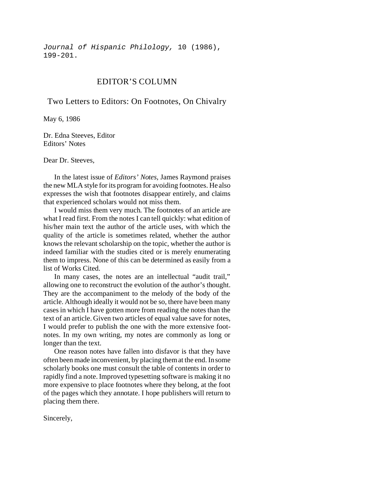*Journal of Hispanic Philology,* 10 (1986), 199-201.

## EDITOR'S COLUMN

Two Letters to Editors: On Footnotes, On Chivalry

May 6, 1986

Dr. Edna Steeves, Editor Editors' Notes

Dear Dr. Steeves,

In the latest issue of *Editors' Notes*, James Raymond praises the new MLA style for its program for avoiding footnotes. He also expresses the wish that footnotes disappear entirely, and claims that experienced scholars would not miss them.

I would miss them very much. The footnotes of an article are what I read first. From the notes I can tell quickly: what edition of his/her main text the author of the article uses, with which the quality of the article is sometimes related, whether the author knows the relevant scholarship on the topic, whether the author is indeed familiar with the studies cited or is merely enumerating them to impress. None of this can be determined as easily from a list of Works Cited.

In many cases, the notes are an intellectual "audit trail," allowing one to reconstruct the evolution of the author's thought. They are the accompaniment to the melody of the body of the article. Although ideally it would not be so, there have been many cases in which I have gotten more from reading the notes than the text of an article. Given two articles of equal value save for notes, I would prefer to publish the one with the more extensive footnotes. In my own writing, my notes are commonly as long or longer than the text.

One reason notes have fallen into disfavor is that they have often been made inconvenient, by placing them at the end. In some scholarly books one must consult the table of contents in order to rapidly find a note. Improved typesetting software is making it no more expensive to place footnotes where they belong, at the foot of the pages which they annotate. I hope publishers will return to placing them there.

Sincerely,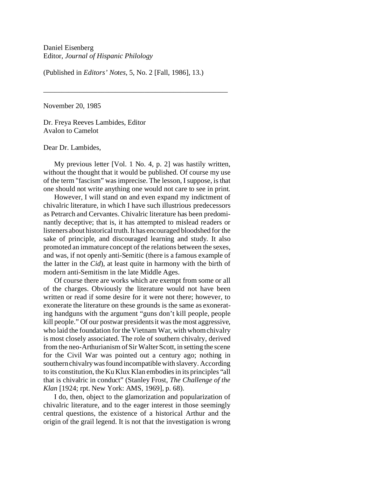(Published in *Editors' Notes*, 5, No. 2 [Fall, 1986], 13.)

\_\_\_\_\_\_\_\_\_\_\_\_\_\_\_\_\_\_\_\_\_\_\_\_\_\_\_\_\_\_\_\_\_\_\_\_\_\_\_\_\_\_\_\_\_\_\_\_\_\_\_

November 20, 1985

Dr. Freya Reeves Lambides, Editor Avalon to Camelot

Dear Dr. Lambides,

My previous letter [Vol. 1 No. 4, p. 2] was hastily written, without the thought that it would be published. Of course my use of the term "fascism" was imprecise. The lesson, I suppose, is that one should not write anything one would not care to see in print.

However, I will stand on and even expand my indictment of chivalric literature, in which I have such illustrious predecessors as Petrarch and Cervantes. Chivalric literature has been predominantly deceptive; that is, it has attempted to mislead readers or listeners about historical truth. It has encouraged bloodshed for the sake of principle, and discouraged learning and study. It also promoted an immature concept of the relations between the sexes, and was, if not openly anti-Semitic (there is a famous example of the latter in the *Cid*), at least quite in harmony with the birth of modern anti-Semitism in the late Middle Ages.

Of course there are works which are exempt from some or all of the charges. Obviously the literature would not have been written or read if some desire for it were not there; however, to exonerate the literature on these grounds is the same as exonerating handguns with the argument "guns don't kill people, people kill people." Of our postwar presidents it was the most aggressive, who laid the foundation for the Vietnam War, with whom chivalry is most closely associated. The role of southern chivalry, derived from the neo-Arthurianism of Sir Walter Scott, in setting the scene for the Civil War was pointed out a century ago; nothing in southern chivalry was found incompatible with slavery. According to its constitution, the Ku Klux Klan embodies in its principles "all that is chivalric in conduct" (Stanley Frost, *The Challenge of the Klan* [1924; rpt. New York: AMS, 1969], p. 68).

I do, then, object to the glamorization and popularization of chivalric literature, and to the eager interest in those seemingly central questions, the existence of a historical Arthur and the origin of the grail legend. It is not that the investigation is wrong